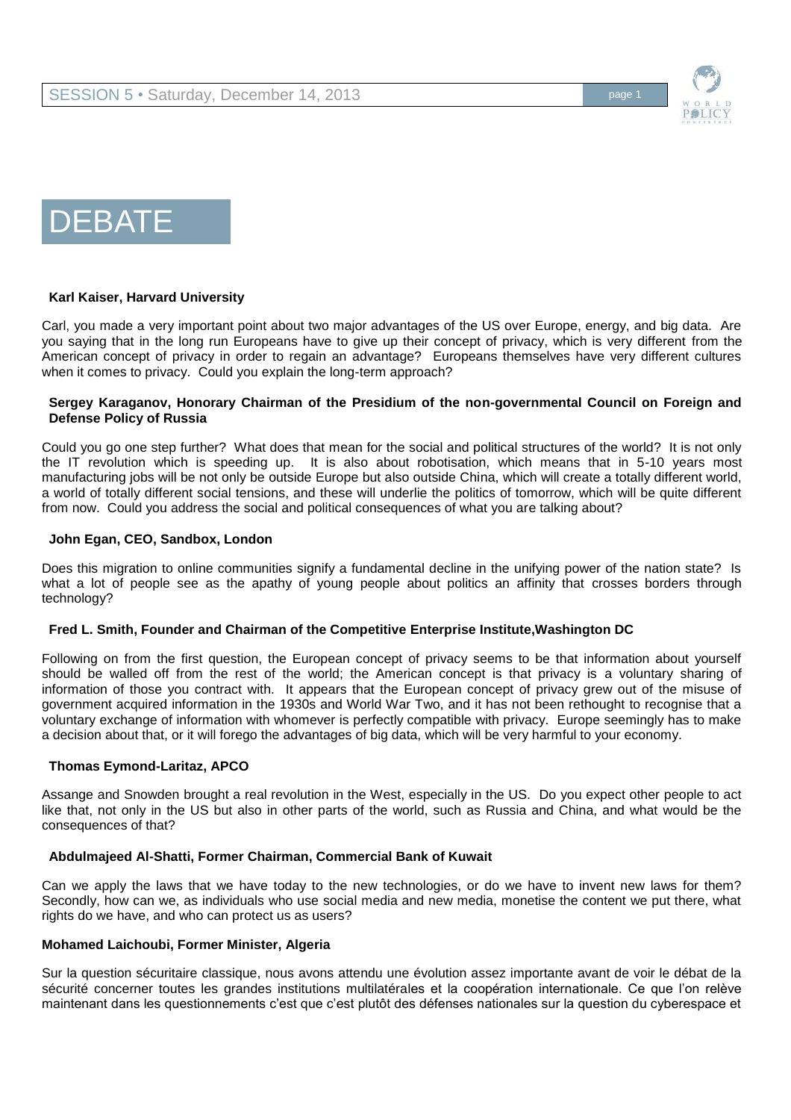

# DEBATE

#### **Karl Kaiser, Harvard University**

Carl, you made a very important point about two major advantages of the US over Europe, energy, and big data. Are you saying that in the long run Europeans have to give up their concept of privacy, which is very different from the American concept of privacy in order to regain an advantage? Europeans themselves have very different cultures when it comes to privacy. Could you explain the long-term approach?

### **Sergey Karaganov, Honorary Chairman of the Presidium of the non-governmental Council on Foreign and Defense Policy of Russia**

Could you go one step further? What does that mean for the social and political structures of the world? It is not only the IT revolution which is speeding up. It is also about robotisation, which means that in 5-10 years most manufacturing jobs will be not only be outside Europe but also outside China, which will create a totally different world, a world of totally different social tensions, and these will underlie the politics of tomorrow, which will be quite different from now. Could you address the social and political consequences of what you are talking about?

## **John Egan, CEO, Sandbox, London**

Does this migration to online communities signify a fundamental decline in the unifying power of the nation state? Is what a lot of people see as the apathy of young people about politics an affinity that crosses borders through technology?

#### **Fred L. Smith, Founder and Chairman of the Competitive Enterprise Institute,Washington DC**

Following on from the first question, the European concept of privacy seems to be that information about yourself should be walled off from the rest of the world; the American concept is that privacy is a voluntary sharing of information of those you contract with. It appears that the European concept of privacy grew out of the misuse of government acquired information in the 1930s and World War Two, and it has not been rethought to recognise that a voluntary exchange of information with whomever is perfectly compatible with privacy. Europe seemingly has to make a decision about that, or it will forego the advantages of big data, which will be very harmful to your economy.

# **Thomas Eymond-Laritaz, APCO**

Assange and Snowden brought a real revolution in the West, especially in the US. Do you expect other people to act like that, not only in the US but also in other parts of the world, such as Russia and China, and what would be the consequences of that?

## **Abdulmajeed Al-Shatti, Former Chairman, Commercial Bank of Kuwait**

Can we apply the laws that we have today to the new technologies, or do we have to invent new laws for them? Secondly, how can we, as individuals who use social media and new media, monetise the content we put there, what rights do we have, and who can protect us as users?

#### **Mohamed Laichoubi, Former Minister, Algeria**

Sur la question sécuritaire classique, nous avons attendu une évolution assez importante avant de voir le débat de la sécurité concerner toutes les grandes institutions multilatérales et la coopération internationale. Ce que l'on relève maintenant dans les questionnements c'est que c'est plutôt des défenses nationales sur la question du cyberespace et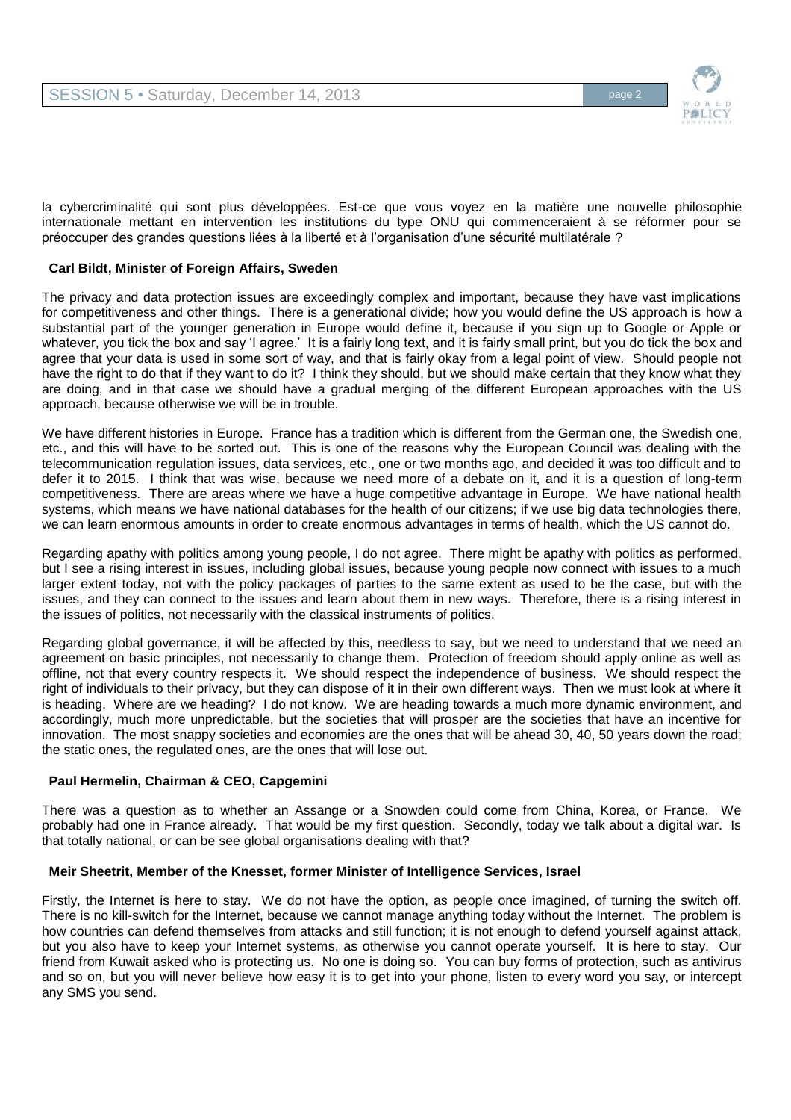

la cybercriminalité qui sont plus développées. Est-ce que vous voyez en la matière une nouvelle philosophie internationale mettant en intervention les institutions du type ONU qui commenceraient à se réformer pour se préoccuper des grandes questions liées à la liberté et à l'organisation d'une sécurité multilatérale ?

## **Carl Bildt, Minister of Foreign Affairs, Sweden**

The privacy and data protection issues are exceedingly complex and important, because they have vast implications for competitiveness and other things. There is a generational divide; how you would define the US approach is how a substantial part of the younger generation in Europe would define it, because if you sign up to Google or Apple or whatever, you tick the box and say 'I agree.' It is a fairly long text, and it is fairly small print, but you do tick the box and agree that your data is used in some sort of way, and that is fairly okay from a legal point of view. Should people not have the right to do that if they want to do it? I think they should, but we should make certain that they know what they are doing, and in that case we should have a gradual merging of the different European approaches with the US approach, because otherwise we will be in trouble.

We have different histories in Europe. France has a tradition which is different from the German one, the Swedish one, etc., and this will have to be sorted out. This is one of the reasons why the European Council was dealing with the telecommunication regulation issues, data services, etc., one or two months ago, and decided it was too difficult and to defer it to 2015. I think that was wise, because we need more of a debate on it, and it is a question of long-term competitiveness. There are areas where we have a huge competitive advantage in Europe. We have national health systems, which means we have national databases for the health of our citizens; if we use big data technologies there, we can learn enormous amounts in order to create enormous advantages in terms of health, which the US cannot do.

Regarding apathy with politics among young people, I do not agree. There might be apathy with politics as performed, but I see a rising interest in issues, including global issues, because young people now connect with issues to a much larger extent today, not with the policy packages of parties to the same extent as used to be the case, but with the issues, and they can connect to the issues and learn about them in new ways. Therefore, there is a rising interest in the issues of politics, not necessarily with the classical instruments of politics.

Regarding global governance, it will be affected by this, needless to say, but we need to understand that we need an agreement on basic principles, not necessarily to change them. Protection of freedom should apply online as well as offline, not that every country respects it. We should respect the independence of business. We should respect the right of individuals to their privacy, but they can dispose of it in their own different ways. Then we must look at where it is heading. Where are we heading? I do not know. We are heading towards a much more dynamic environment, and accordingly, much more unpredictable, but the societies that will prosper are the societies that have an incentive for innovation. The most snappy societies and economies are the ones that will be ahead 30, 40, 50 years down the road; the static ones, the regulated ones, are the ones that will lose out.

### **Paul Hermelin, Chairman & CEO, Capgemini**

There was a question as to whether an Assange or a Snowden could come from China, Korea, or France. We probably had one in France already. That would be my first question. Secondly, today we talk about a digital war. Is that totally national, or can be see global organisations dealing with that?

#### **Meir Sheetrit, Member of the Knesset, former Minister of Intelligence Services, Israel**

Firstly, the Internet is here to stay. We do not have the option, as people once imagined, of turning the switch off. There is no kill-switch for the Internet, because we cannot manage anything today without the Internet. The problem is how countries can defend themselves from attacks and still function; it is not enough to defend yourself against attack, but you also have to keep your Internet systems, as otherwise you cannot operate yourself. It is here to stay. Our friend from Kuwait asked who is protecting us. No one is doing so. You can buy forms of protection, such as antivirus and so on, but you will never believe how easy it is to get into your phone, listen to every word you say, or intercept any SMS you send.